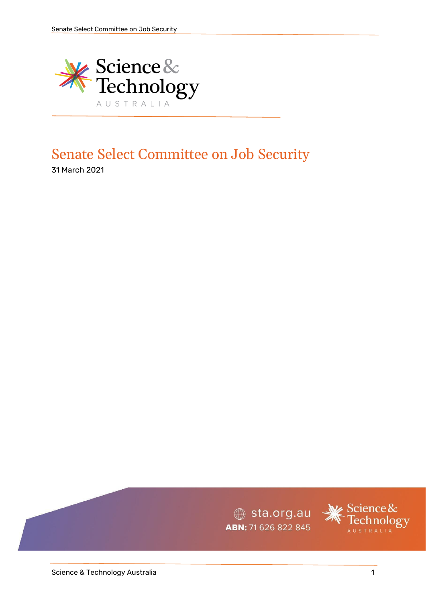

# Senate Select Committee on Job Security

31 March 2021

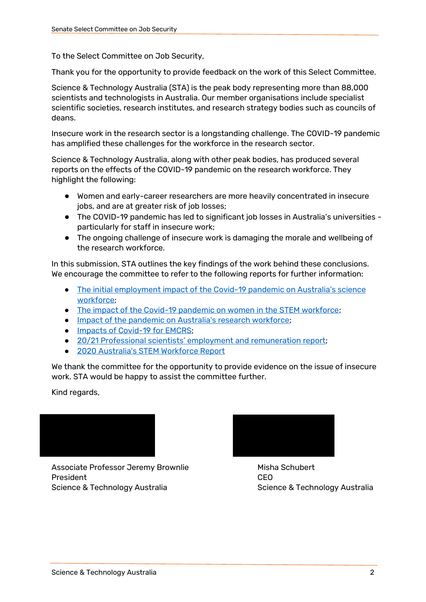To the Select Committee on Job Security,

Thank you for the opportunity to provide feedback on the work of this Select Committee.

Science & Technology Australia (STA) is the peak body representing more than 88,000 scientists and technologists in Australia. Our member organisations include specialist scientific societies, research institutes, and research strategy bodies such as councils of deans.

Insecure work in the research sector is a longstanding challenge. The COVID-19 pandemic has amplified these challenges for the workforce in the research sector.

Science & Technology Australia, along with other peak bodies, has produced several reports on the effects of the COVID-19 pandemic on the research workforce. They highlight the following:

- Women and early-career researchers are more heavily concentrated in insecure jobs, and are at greater risk of job losses;
- The COVID-19 pandemic has led to significant job losses in Australia's universities particularly for staff in insecure work;
- The ongoing challenge of insecure work is damaging the morale and wellbeing of the research workforce.

In this submission, STA outlines the key findings of the work behind these conclusions. We encourage the committee to refer to the following reports for further information:

- [The initial employment impact of the Covid-](https://scienceandtechnologyaustralia.org.au/wp-content/uploads/2020/08/2020-Initial-Employment-Impacts-of-Covid-19.pdf)19 pandemic on Australia's science [workforce;](https://scienceandtechnologyaustralia.org.au/wp-content/uploads/2020/08/2020-Initial-Employment-Impacts-of-Covid-19.pdf)
- [The impact of the Covid-19 pandemic on women in the STEM workforce;](https://scienceandtechnologyaustralia.org.au/wp-content/uploads/2020/06/RRIF-Women-in-STEM.pdf)
- [Impact of the pandemic on Australia's research workforce](https://www.science.org.au/sites/default/files/rrif-covid19-research-workforce.pdf);
- [Impacts of Covid-19 for EMCRS;](https://www.science.org.au/files/userfiles/support/documents/covid19-emcr-impact-report.pdf)
- [20/21 Professional scientists' employment and](https://scienceandtechnologyaustralia.org.au/scientists-at-risk-we-need-to-celebrate-their-work-more/) [remuneration](https://scienceandtechnologyaustralia.org.au/scientists-at-risk-we-need-to-celebrate-their-work-more/) [report;](https://scienceandtechnologyaustralia.org.au/scientists-at-risk-we-need-to-celebrate-their-work-more/)
- [2020 Australia's STEM Workforce Report](https://www.chiefscientist.gov.au/sites/default/files/2020-07/australias_stem_workforce_-_final.pdf)

We thank the committee for the opportunity to provide evidence on the issue of insecure work. STA would be happy to assist the committee further.

Kind regards,

Associate Professor Jeremy Brownlie Misha Schubert President CEO Science & Technology Australia Science & Technology Australia

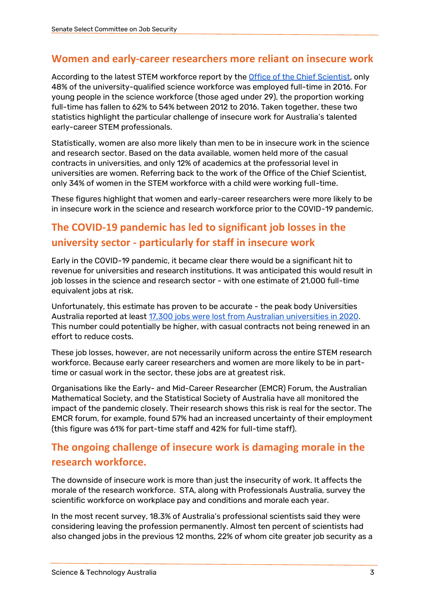#### **Women and early-career researchers more reliant on insecure work**

According to the latest STEM workforce report by th[e Office of the Chief Scientist,](https://www.chiefscientist.gov.au/news-and-media/2020-australias-stem-workforce-report) only 48% of the university-qualified science workforce was employed full-time in 2016. For young people in the science workforce (those aged under 29), the proportion working full-time has fallen to 62% to 54% between 2012 to 2016. Taken together, these two statistics highlight the particular challenge of insecure work for Australia's talented early-career STEM professionals.

Statistically, women are also more likely than men to be in insecure work in the science and research sector. Based on the data available, women held more of the casual contracts in universities, and only 12% of academics at the professorial level in universities are women. Referring back to the work of the Office of the Chief Scientist, only 34% of women in the STEM workforce with a child were working full-time.

These figures highlight that women and early-career researchers were more likely to be in insecure work in the science and research workforce prior to the COVID-19 pandemic.

## **The COVID-19 pandemic has led to significant job losses in the university sector - particularly for staff in insecure work**

Early in the COVID-19 pandemic, it became clear there would be a significant hit to revenue for universities and research institutions. It was anticipated this would result in job losses in the science and research sector - with one estimate of 21,000 full-time equivalent jobs at risk.

Unfortunately, this estimate has proven to be accurate - the peak body Universities Australia reported at least [17,300 jobs were lost from Australian universities in 2020.](https://www.universitiesaustralia.edu.au/media-item/17000-uni-jobs-lost-to-covid-19/) This number could potentially be higher, with casual contracts not being renewed in an effort to reduce costs.

These job losses, however, are not necessarily uniform across the entire STEM research workforce. Because early career researchers and women are more likely to be in parttime or casual work in the sector, these jobs are at greatest risk.

Organisations like the Early- and Mid-Career Researcher (EMCR) Forum, the Australian Mathematical Society, and the Statistical Society of Australia have all monitored the impact of the pandemic closely. Their research shows this risk is real for the sector. The EMCR forum, for example, found 57% had an increased uncertainty of their employment (this figure was 61% for part-time staff and 42% for full-time staff).

### **The ongoing challenge of insecure work is damaging morale in the research workforce.**

The downside of insecure work is more than just the insecurity of work. It affects the morale of the research workforce. STA, along with Professionals Australia, survey the scientific workforce on workplace pay and conditions and morale each year.

In the most recent survey, 18.3% of Australia's professional scientists said they were considering leaving the profession permanently. Almost ten percent of scientists had also changed jobs in the previous 12 months, 22% of whom cite greater job security as a